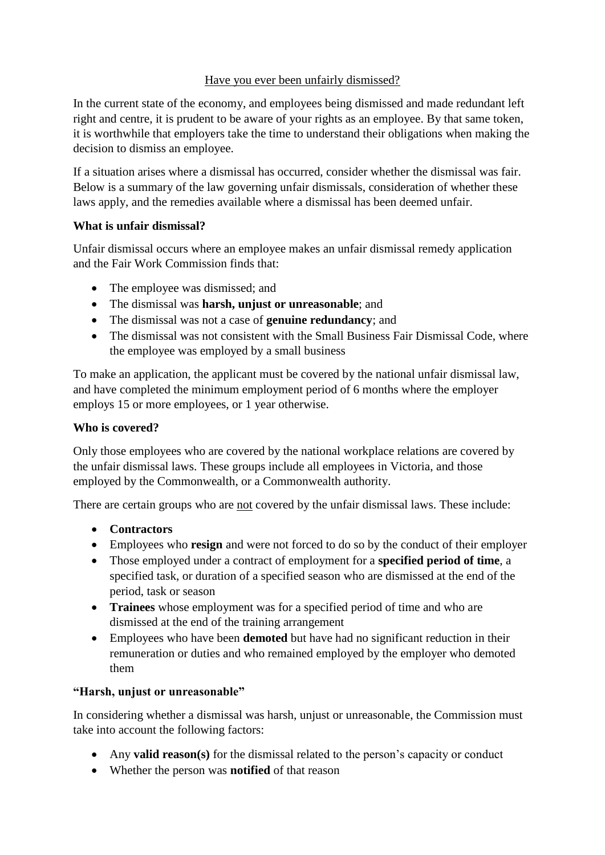### Have you ever been unfairly dismissed?

In the current state of the economy, and employees being dismissed and made redundant left right and centre, it is prudent to be aware of your rights as an employee. By that same token, it is worthwhile that employers take the time to understand their obligations when making the decision to dismiss an employee.

If a situation arises where a dismissal has occurred, consider whether the dismissal was fair. Below is a summary of the law governing unfair dismissals, consideration of whether these laws apply, and the remedies available where a dismissal has been deemed unfair.

# **What is unfair dismissal?**

Unfair dismissal occurs where an employee makes an unfair dismissal remedy application and the Fair Work Commission finds that:

- The employee was dismissed; and
- The dismissal was **harsh, unjust or unreasonable**; and
- The dismissal was not a case of **genuine redundancy**; and
- The dismissal was not consistent with the Small Business Fair Dismissal Code, where the employee was employed by a small business

To make an application, the applicant must be covered by the national unfair dismissal law, and have completed the minimum employment period of 6 months where the employer employs 15 or more employees, or 1 year otherwise.

### **Who is covered?**

Only those employees who are covered by the national workplace relations are covered by the unfair dismissal laws. These groups include all employees in Victoria, and those employed by the Commonwealth, or a Commonwealth authority.

There are certain groups who are not covered by the unfair dismissal laws. These include:

### **Contractors**

- Employees who **resign** and were not forced to do so by the conduct of their employer
- Those employed under a contract of employment for a **specified period of time**, a specified task, or duration of a specified season who are dismissed at the end of the period, task or season
- **Trainees** whose employment was for a specified period of time and who are dismissed at the end of the training arrangement
- Employees who have been **demoted** but have had no significant reduction in their remuneration or duties and who remained employed by the employer who demoted them

### **"Harsh, unjust or unreasonable"**

In considering whether a dismissal was harsh, unjust or unreasonable, the Commission must take into account the following factors:

- Any **valid reason(s)** for the dismissal related to the person's capacity or conduct
- Whether the person was **notified** of that reason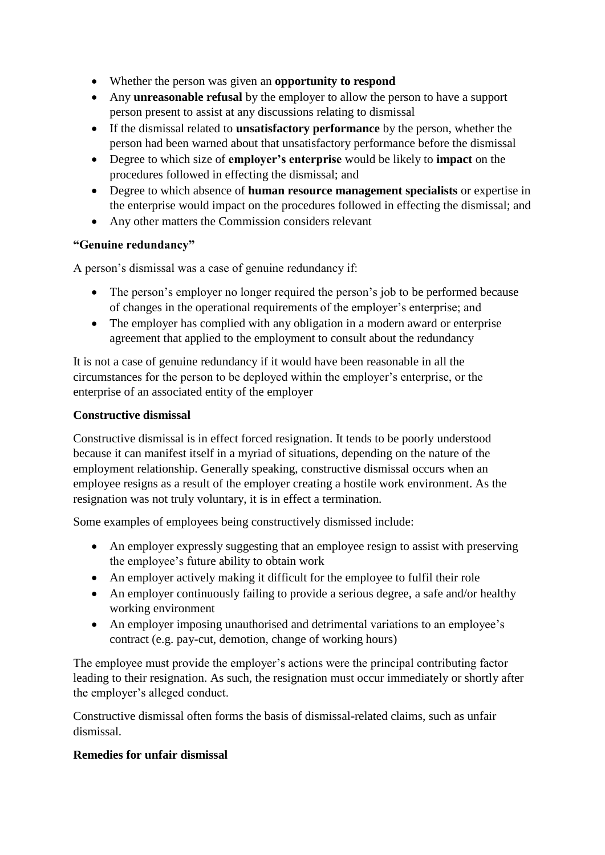- Whether the person was given an **opportunity to respond**
- Any **unreasonable refusal** by the employer to allow the person to have a support person present to assist at any discussions relating to dismissal
- If the dismissal related to **unsatisfactory performance** by the person, whether the person had been warned about that unsatisfactory performance before the dismissal
- Degree to which size of **employer's enterprise** would be likely to **impact** on the procedures followed in effecting the dismissal; and
- Degree to which absence of **human resource management specialists** or expertise in the enterprise would impact on the procedures followed in effecting the dismissal; and
- Any other matters the Commission considers relevant

# **"Genuine redundancy"**

A person's dismissal was a case of genuine redundancy if:

- The person's employer no longer required the person's job to be performed because of changes in the operational requirements of the employer's enterprise; and
- The employer has complied with any obligation in a modern award or enterprise agreement that applied to the employment to consult about the redundancy

It is not a case of genuine redundancy if it would have been reasonable in all the circumstances for the person to be deployed within the employer's enterprise, or the enterprise of an associated entity of the employer

# **Constructive dismissal**

Constructive dismissal is in effect forced resignation. It tends to be poorly understood because it can manifest itself in a myriad of situations, depending on the nature of the employment relationship. Generally speaking, constructive dismissal occurs when an employee resigns as a result of the employer creating a hostile work environment. As the resignation was not truly voluntary, it is in effect a termination.

Some examples of employees being constructively dismissed include:

- An employer expressly suggesting that an employee resign to assist with preserving the employee's future ability to obtain work
- An employer actively making it difficult for the employee to fulfil their role
- An employer continuously failing to provide a serious degree, a safe and/or healthy working environment
- An employer imposing unauthorised and detrimental variations to an employee's contract (e.g. pay-cut, demotion, change of working hours)

The employee must provide the employer's actions were the principal contributing factor leading to their resignation. As such, the resignation must occur immediately or shortly after the employer's alleged conduct.

Constructive dismissal often forms the basis of dismissal-related claims, such as unfair dismissal.

### **Remedies for unfair dismissal**